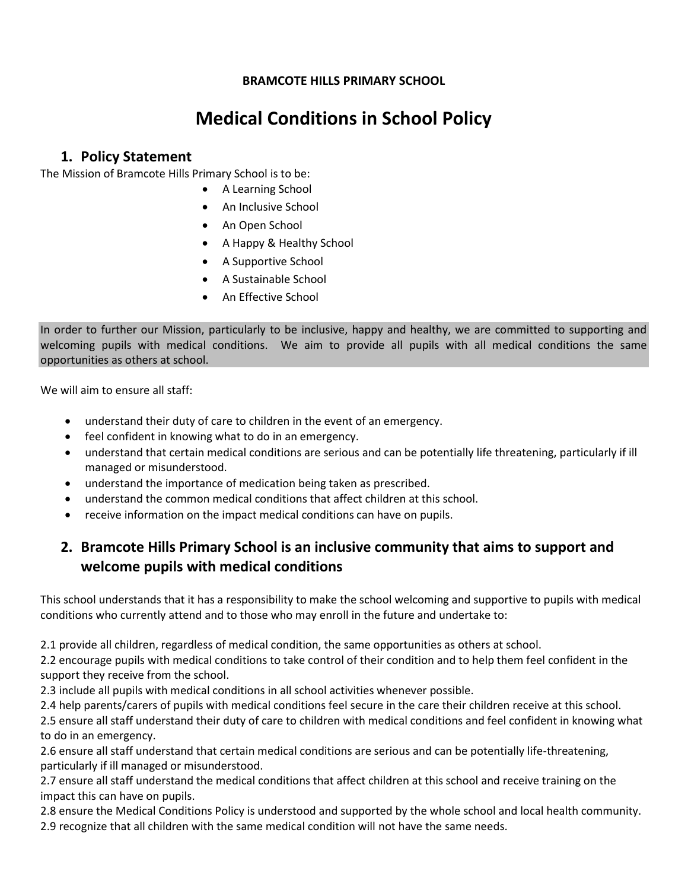### **BRAMCOTE HILLS PRIMARY SCHOOL**

# **Medical Conditions in School Policy**

### **1. Policy Statement**

The Mission of Bramcote Hills Primary School is to be:

- A Learning School
- An Inclusive School
- An Open School
- A Happy & Healthy School
- A Supportive School
- A Sustainable School
- An Effective School

In order to further our Mission, particularly to be inclusive, happy and healthy, we are committed to supporting and welcoming pupils with medical conditions. We aim to provide all pupils with all medical conditions the same opportunities as others at school.

We will aim to ensure all staff:

- understand their duty of care to children in the event of an emergency.
- feel confident in knowing what to do in an emergency.
- understand that certain medical conditions are serious and can be potentially life threatening, particularly if ill managed or misunderstood.
- understand the importance of medication being taken as prescribed.
- understand the common medical conditions that affect children at this school.
- receive information on the impact medical conditions can have on pupils.

## **2. Bramcote Hills Primary School is an inclusive community that aims to support and welcome pupils with medical conditions**

This school understands that it has a responsibility to make the school welcoming and supportive to pupils with medical conditions who currently attend and to those who may enroll in the future and undertake to:

2.1 provide all children, regardless of medical condition, the same opportunities as others at school.

2.2 encourage pupils with medical conditions to take control of their condition and to help them feel confident in the support they receive from the school.

2.3 include all pupils with medical conditions in all school activities whenever possible.

2.4 help parents/carers of pupils with medical conditions feel secure in the care their children receive at this school.

2.5 ensure all staff understand their duty of care to children with medical conditions and feel confident in knowing what to do in an emergency.

2.6 ensure all staff understand that certain medical conditions are serious and can be potentially life-threatening, particularly if ill managed or misunderstood.

2.7 ensure all staff understand the medical conditions that affect children at this school and receive training on the impact this can have on pupils.

2.8 ensure the Medical Conditions Policy is understood and supported by the whole school and local health community. 2.9 recognize that all children with the same medical condition will not have the same needs.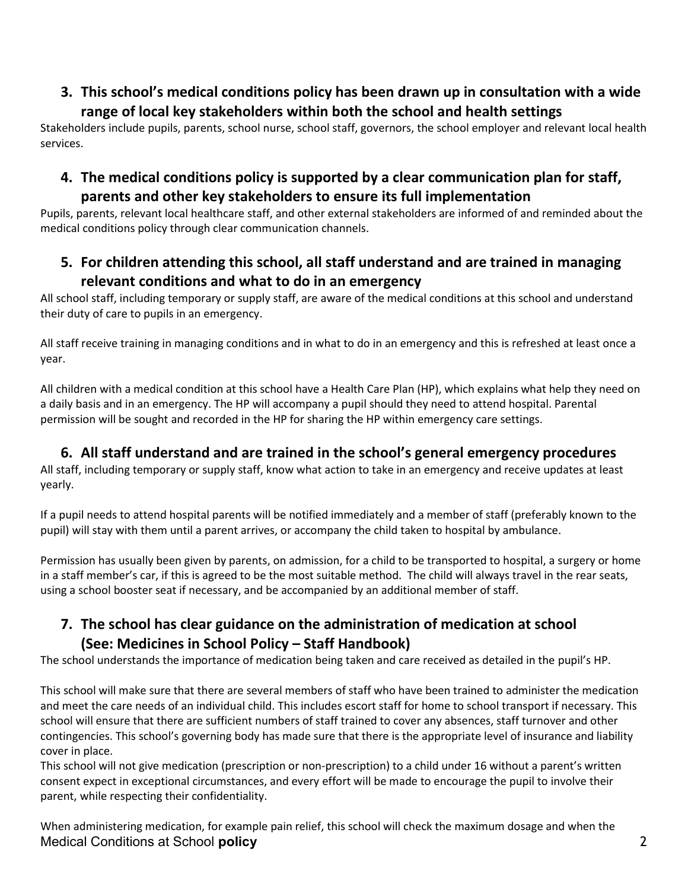## **3. This school's medical conditions policy has been drawn up in consultation with a wide range of local key stakeholders within both the school and health settings**

Stakeholders include pupils, parents, school nurse, school staff, governors, the school employer and relevant local health services.

## **4. The medical conditions policy is supported by a clear communication plan for staff, parents and other key stakeholders to ensure its full implementation**

Pupils, parents, relevant local healthcare staff, and other external stakeholders are informed of and reminded about the medical conditions policy through clear communication channels.

## **5. For children attending this school, all staff understand and are trained in managing relevant conditions and what to do in an emergency**

All school staff, including temporary or supply staff, are aware of the medical conditions at this school and understand their duty of care to pupils in an emergency.

All staff receive training in managing conditions and in what to do in an emergency and this is refreshed at least once a year.

All children with a medical condition at this school have a Health Care Plan (HP), which explains what help they need on a daily basis and in an emergency. The HP will accompany a pupil should they need to attend hospital. Parental permission will be sought and recorded in the HP for sharing the HP within emergency care settings.

## **6. All staff understand and are trained in the school's general emergency procedures**

All staff, including temporary or supply staff, know what action to take in an emergency and receive updates at least yearly.

If a pupil needs to attend hospital parents will be notified immediately and a member of staff (preferably known to the pupil) will stay with them until a parent arrives, or accompany the child taken to hospital by ambulance.

Permission has usually been given by parents, on admission, for a child to be transported to hospital, a surgery or home in a staff member's car, if this is agreed to be the most suitable method. The child will always travel in the rear seats, using a school booster seat if necessary, and be accompanied by an additional member of staff.

## **7. The school has clear guidance on the administration of medication at school (See: Medicines in School Policy – Staff Handbook)**

The school understands the importance of medication being taken and care received as detailed in the pupil's HP.

This school will make sure that there are several members of staff who have been trained to administer the medication and meet the care needs of an individual child. This includes escort staff for home to school transport if necessary. This school will ensure that there are sufficient numbers of staff trained to cover any absences, staff turnover and other contingencies. This school's governing body has made sure that there is the appropriate level of insurance and liability cover in place.

This school will not give medication (prescription or non-prescription) to a child under 16 without a parent's written consent expect in exceptional circumstances, and every effort will be made to encourage the pupil to involve their parent, while respecting their confidentiality.

Medical Conditions at School **policy** 2 When administering medication, for example pain relief, this school will check the maximum dosage and when the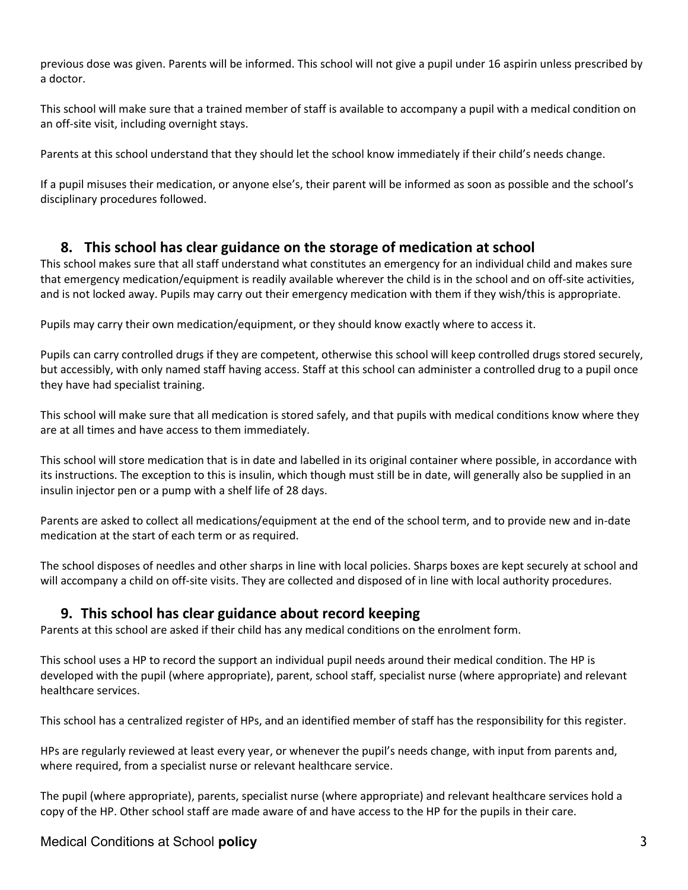previous dose was given. Parents will be informed. This school will not give a pupil under 16 aspirin unless prescribed by a doctor.

This school will make sure that a trained member of staff is available to accompany a pupil with a medical condition on an off-site visit, including overnight stays.

Parents at this school understand that they should let the school know immediately if their child's needs change.

If a pupil misuses their medication, or anyone else's, their parent will be informed as soon as possible and the school's disciplinary procedures followed.

### **8. This school has clear guidance on the storage of medication at school**

This school makes sure that all staff understand what constitutes an emergency for an individual child and makes sure that emergency medication/equipment is readily available wherever the child is in the school and on off-site activities, and is not locked away. Pupils may carry out their emergency medication with them if they wish/this is appropriate.

Pupils may carry their own medication/equipment, or they should know exactly where to access it.

Pupils can carry controlled drugs if they are competent, otherwise this school will keep controlled drugs stored securely, but accessibly, with only named staff having access. Staff at this school can administer a controlled drug to a pupil once they have had specialist training.

This school will make sure that all medication is stored safely, and that pupils with medical conditions know where they are at all times and have access to them immediately.

This school will store medication that is in date and labelled in its original container where possible, in accordance with its instructions. The exception to this is insulin, which though must still be in date, will generally also be supplied in an insulin injector pen or a pump with a shelf life of 28 days.

Parents are asked to collect all medications/equipment at the end of the school term, and to provide new and in-date medication at the start of each term or as required.

The school disposes of needles and other sharps in line with local policies. Sharps boxes are kept securely at school and will accompany a child on off-site visits. They are collected and disposed of in line with local authority procedures.

### **9. This school has clear guidance about record keeping**

Parents at this school are asked if their child has any medical conditions on the enrolment form.

This school uses a HP to record the support an individual pupil needs around their medical condition. The HP is developed with the pupil (where appropriate), parent, school staff, specialist nurse (where appropriate) and relevant healthcare services.

This school has a centralized register of HPs, and an identified member of staff has the responsibility for this register.

HPs are regularly reviewed at least every year, or whenever the pupil's needs change, with input from parents and, where required, from a specialist nurse or relevant healthcare service.

The pupil (where appropriate), parents, specialist nurse (where appropriate) and relevant healthcare services hold a copy of the HP. Other school staff are made aware of and have access to the HP for the pupils in their care.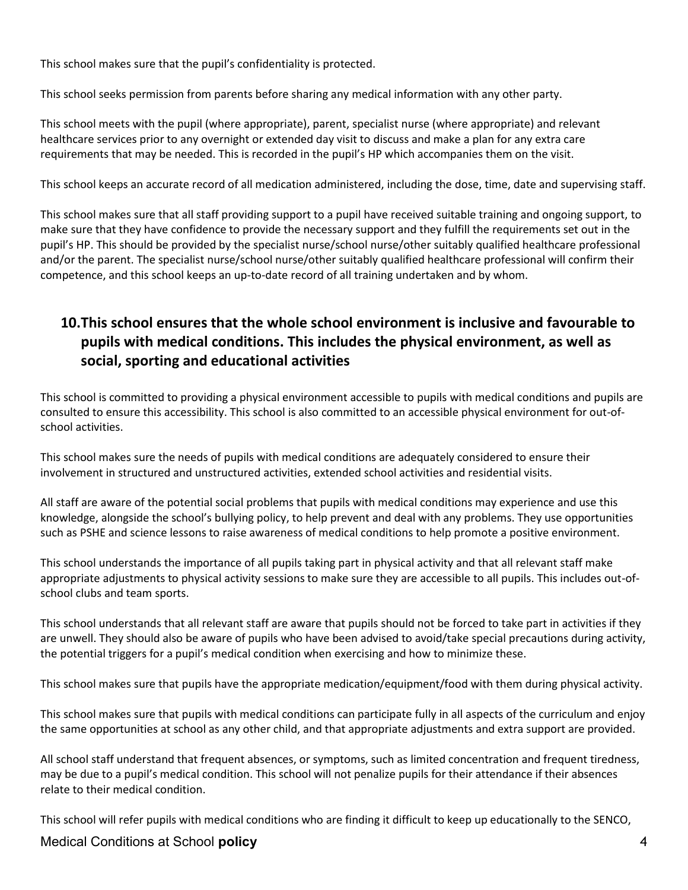This school makes sure that the pupil's confidentiality is protected.

This school seeks permission from parents before sharing any medical information with any other party.

This school meets with the pupil (where appropriate), parent, specialist nurse (where appropriate) and relevant healthcare services prior to any overnight or extended day visit to discuss and make a plan for any extra care requirements that may be needed. This is recorded in the pupil's HP which accompanies them on the visit.

This school keeps an accurate record of all medication administered, including the dose, time, date and supervising staff.

This school makes sure that all staff providing support to a pupil have received suitable training and ongoing support, to make sure that they have confidence to provide the necessary support and they fulfill the requirements set out in the pupil's HP. This should be provided by the specialist nurse/school nurse/other suitably qualified healthcare professional and/or the parent. The specialist nurse/school nurse/other suitably qualified healthcare professional will confirm their competence, and this school keeps an up-to-date record of all training undertaken and by whom.

## **10.This school ensures that the whole school environment is inclusive and favourable to pupils with medical conditions. This includes the physical environment, as well as social, sporting and educational activities**

This school is committed to providing a physical environment accessible to pupils with medical conditions and pupils are consulted to ensure this accessibility. This school is also committed to an accessible physical environment for out-ofschool activities.

This school makes sure the needs of pupils with medical conditions are adequately considered to ensure their involvement in structured and unstructured activities, extended school activities and residential visits.

All staff are aware of the potential social problems that pupils with medical conditions may experience and use this knowledge, alongside the school's bullying policy, to help prevent and deal with any problems. They use opportunities such as PSHE and science lessons to raise awareness of medical conditions to help promote a positive environment.

This school understands the importance of all pupils taking part in physical activity and that all relevant staff make appropriate adjustments to physical activity sessions to make sure they are accessible to all pupils. This includes out-ofschool clubs and team sports.

This school understands that all relevant staff are aware that pupils should not be forced to take part in activities if they are unwell. They should also be aware of pupils who have been advised to avoid/take special precautions during activity, the potential triggers for a pupil's medical condition when exercising and how to minimize these.

This school makes sure that pupils have the appropriate medication/equipment/food with them during physical activity.

This school makes sure that pupils with medical conditions can participate fully in all aspects of the curriculum and enjoy the same opportunities at school as any other child, and that appropriate adjustments and extra support are provided.

All school staff understand that frequent absences, or symptoms, such as limited concentration and frequent tiredness, may be due to a pupil's medical condition. This school will not penalize pupils for their attendance if their absences relate to their medical condition.

This school will refer pupils with medical conditions who are finding it difficult to keep up educationally to the SENCO,

### Medical Conditions at School **policy** 4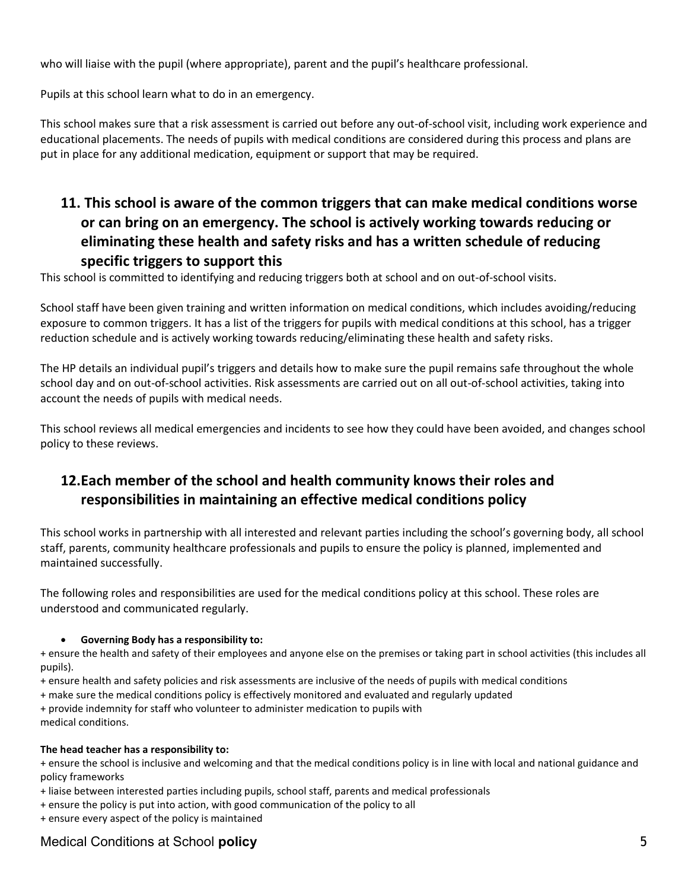who will liaise with the pupil (where appropriate), parent and the pupil's healthcare professional.

Pupils at this school learn what to do in an emergency.

This school makes sure that a risk assessment is carried out before any out-of-school visit, including work experience and educational placements. The needs of pupils with medical conditions are considered during this process and plans are put in place for any additional medication, equipment or support that may be required.

## **11. This school is aware of the common triggers that can make medical conditions worse or can bring on an emergency. The school is actively working towards reducing or eliminating these health and safety risks and has a written schedule of reducing specific triggers to support this**

This school is committed to identifying and reducing triggers both at school and on out-of-school visits.

School staff have been given training and written information on medical conditions, which includes avoiding/reducing exposure to common triggers. It has a list of the triggers for pupils with medical conditions at this school, has a trigger reduction schedule and is actively working towards reducing/eliminating these health and safety risks.

The HP details an individual pupil's triggers and details how to make sure the pupil remains safe throughout the whole school day and on out-of-school activities. Risk assessments are carried out on all out-of-school activities, taking into account the needs of pupils with medical needs.

This school reviews all medical emergencies and incidents to see how they could have been avoided, and changes school policy to these reviews.

## **12.Each member of the school and health community knows their roles and responsibilities in maintaining an effective medical conditions policy**

This school works in partnership with all interested and relevant parties including the school's governing body, all school staff, parents, community healthcare professionals and pupils to ensure the policy is planned, implemented and maintained successfully.

The following roles and responsibilities are used for the medical conditions policy at this school. These roles are understood and communicated regularly.

### **Governing Body has a responsibility to:**

+ ensure the health and safety of their employees and anyone else on the premises or taking part in school activities (this includes all pupils).

- + ensure health and safety policies and risk assessments are inclusive of the needs of pupils with medical conditions
- + make sure the medical conditions policy is effectively monitored and evaluated and regularly updated
- + provide indemnity for staff who volunteer to administer medication to pupils with

medical conditions.

#### **The head teacher has a responsibility to:**

+ ensure the school is inclusive and welcoming and that the medical conditions policy is in line with local and national guidance and policy frameworks

- + liaise between interested parties including pupils, school staff, parents and medical professionals
- + ensure the policy is put into action, with good communication of the policy to all
- + ensure every aspect of the policy is maintained

### Medical Conditions at School **policy** 5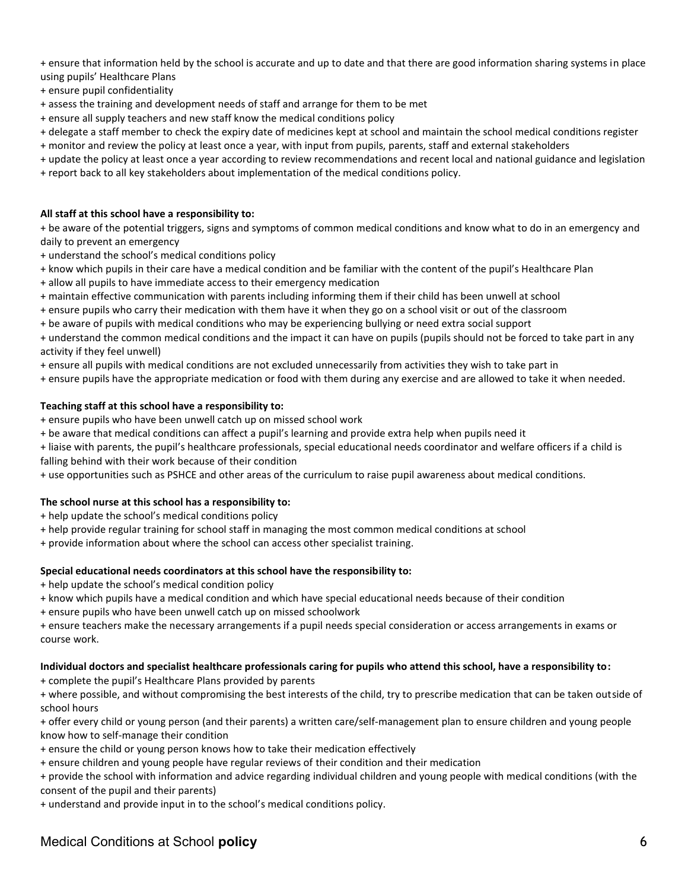+ ensure that information held by the school is accurate and up to date and that there are good information sharing systems in place using pupils' Healthcare Plans

- + ensure pupil confidentiality
- + assess the training and development needs of staff and arrange for them to be met
- + ensure all supply teachers and new staff know the medical conditions policy
- + delegate a staff member to check the expiry date of medicines kept at school and maintain the school medical conditions register
- + monitor and review the policy at least once a year, with input from pupils, parents, staff and external stakeholders
- + update the policy at least once a year according to review recommendations and recent local and national guidance and legislation
- + report back to all key stakeholders about implementation of the medical conditions policy.

#### **All staff at this school have a responsibility to:**

+ be aware of the potential triggers, signs and symptoms of common medical conditions and know what to do in an emergency and daily to prevent an emergency

- + understand the school's medical conditions policy
- + know which pupils in their care have a medical condition and be familiar with the content of the pupil's Healthcare Plan
- + allow all pupils to have immediate access to their emergency medication
- + maintain effective communication with parents including informing them if their child has been unwell at school
- + ensure pupils who carry their medication with them have it when they go on a school visit or out of the classroom
- + be aware of pupils with medical conditions who may be experiencing bullying or need extra social support

+ understand the common medical conditions and the impact it can have on pupils (pupils should not be forced to take part in any activity if they feel unwell)

- + ensure all pupils with medical conditions are not excluded unnecessarily from activities they wish to take part in
- + ensure pupils have the appropriate medication or food with them during any exercise and are allowed to take it when needed.

#### **Teaching staff at this school have a responsibility to:**

- + ensure pupils who have been unwell catch up on missed school work
- + be aware that medical conditions can affect a pupil's learning and provide extra help when pupils need it

+ liaise with parents, the pupil's healthcare professionals, special educational needs coordinator and welfare officers if a child is falling behind with their work because of their condition

+ use opportunities such as PSHCE and other areas of the curriculum to raise pupil awareness about medical conditions.

#### **The school nurse at this school has a responsibility to:**

- + help update the school's medical conditions policy
- + help provide regular training for school staff in managing the most common medical conditions at school
- + provide information about where the school can access other specialist training.

#### **Special educational needs coordinators at this school have the responsibility to:**

- + help update the school's medical condition policy
- + know which pupils have a medical condition and which have special educational needs because of their condition
- + ensure pupils who have been unwell catch up on missed schoolwork

+ ensure teachers make the necessary arrangements if a pupil needs special consideration or access arrangements in exams or course work.

#### **Individual doctors and specialist healthcare professionals caring for pupils who attend this school, have a responsibility to:**

+ complete the pupil's Healthcare Plans provided by parents

+ where possible, and without compromising the best interests of the child, try to prescribe medication that can be taken outside of school hours

+ offer every child or young person (and their parents) a written care/self-management plan to ensure children and young people know how to self-manage their condition

+ ensure the child or young person knows how to take their medication effectively

+ ensure children and young people have regular reviews of their condition and their medication

+ provide the school with information and advice regarding individual children and young people with medical conditions (with the consent of the pupil and their parents)

+ understand and provide input in to the school's medical conditions policy.

### Medical Conditions at School **policy** 6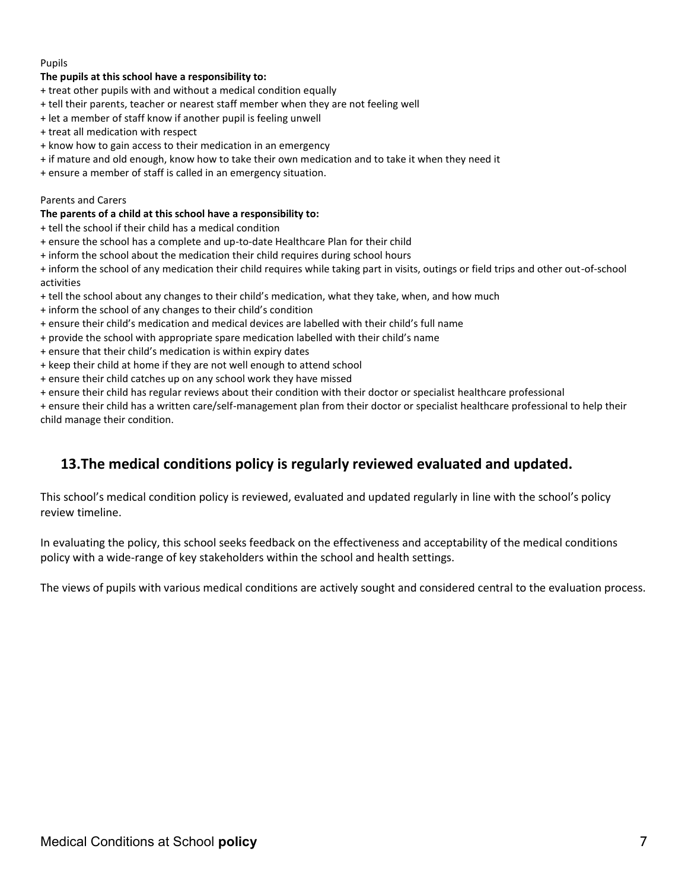#### Pupils

#### **The pupils at this school have a responsibility to:**

- + treat other pupils with and without a medical condition equally
- + tell their parents, teacher or nearest staff member when they are not feeling well
- + let a member of staff know if another pupil is feeling unwell
- + treat all medication with respect
- + know how to gain access to their medication in an emergency
- + if mature and old enough, know how to take their own medication and to take it when they need it
- + ensure a member of staff is called in an emergency situation.

#### Parents and Carers

#### **The parents of a child at this school have a responsibility to:**

- + tell the school if their child has a medical condition
- + ensure the school has a complete and up-to-date Healthcare Plan for their child
- + inform the school about the medication their child requires during school hours

+ inform the school of any medication their child requires while taking part in visits, outings or field trips and other out-of-school activities

- + tell the school about any changes to their child's medication, what they take, when, and how much
- + inform the school of any changes to their child's condition
- + ensure their child's medication and medical devices are labelled with their child's full name
- + provide the school with appropriate spare medication labelled with their child's name
- + ensure that their child's medication is within expiry dates
- + keep their child at home if they are not well enough to attend school
- + ensure their child catches up on any school work they have missed
- + ensure their child has regular reviews about their condition with their doctor or specialist healthcare professional

+ ensure their child has a written care/self-management plan from their doctor or specialist healthcare professional to help their child manage their condition.

### **13.The medical conditions policy is regularly reviewed evaluated and updated.**

This school's medical condition policy is reviewed, evaluated and updated regularly in line with the school's policy review timeline.

In evaluating the policy, this school seeks feedback on the effectiveness and acceptability of the medical conditions policy with a wide-range of key stakeholders within the school and health settings.

The views of pupils with various medical conditions are actively sought and considered central to the evaluation process.